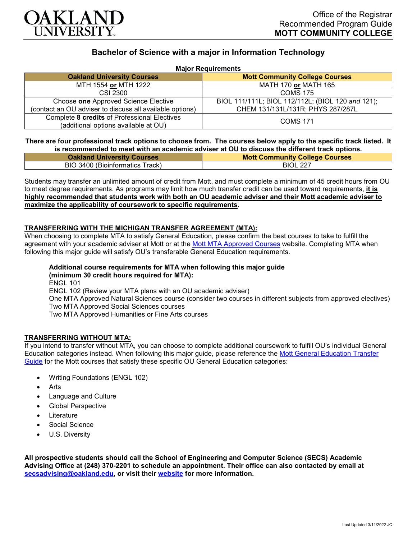

# **Bachelor of Science with a major in Information Technology**

|  |  | <b>Major Requirements</b> |  |
|--|--|---------------------------|--|
|--|--|---------------------------|--|

| <b>Oakland University Courses</b>                        | <b>Mott Community College Courses</b>             |  |  |
|----------------------------------------------------------|---------------------------------------------------|--|--|
| MTH 1554 or MTH 1222                                     | <b>MATH 170 or MATH 165</b>                       |  |  |
| CSI 2300                                                 | <b>COMS 175</b>                                   |  |  |
| Choose one Approved Science Elective                     | BIOL 111/111L; BIOL 112/112L; (BIOL 120 and 121); |  |  |
| (contact an OU adviser to discuss all available options) | CHEM 131/131L/131R; PHYS 287/287L                 |  |  |
| Complete 8 credits of Professional Electives             | <b>COMS 171</b>                                   |  |  |
| (additional options available at OU)                     |                                                   |  |  |

**There are four professional track options to choose from. The courses below apply to the specific track listed. It is recommended to meet with an academic adviser at OU to discuss the different track options.**

| <b>Oakland University Courses</b> | <b>Mott Community College Courses</b> |
|-----------------------------------|---------------------------------------|
| BIO 3400 (Bioinformatics Track)   | <b>BIOL 227</b>                       |

Students may transfer an unlimited amount of credit from Mott, and must complete a minimum of 45 credit hours from OU to meet degree requirements. As programs may limit how much transfer credit can be used toward requirements, **it is highly recommended that students work with both an OU academic adviser and their Mott academic adviser to maximize the applicability of coursework to specific requirements**.

# **TRANSFERRING WITH THE MICHIGAN TRANSFER AGREEMENT (MTA):**

When choosing to complete MTA to satisfy General Education, please confirm the best courses to take to fulfill the agreement with your academic adviser at Mott or at the [Mott MTA Approved Courses](https://www.mcc.edu/counseling_student_dev/casd_mi_transfer_agreement.shtml) website. Completing MTA when following this major guide will satisfy OU's transferable General Education requirements.

**Additional course requirements for MTA when following this major guide (minimum 30 credit hours required for MTA):** ENGL 101 ENGL 102 (Review your MTA plans with an OU academic adviser) One MTA Approved Natural Sciences course (consider two courses in different subjects from approved electives) Two MTA Approved Social Sciences courses Two MTA Approved Humanities or Fine Arts courses

### **TRANSFERRING WITHOUT MTA:**

If you intend to transfer without MTA, you can choose to complete additional coursework to fulfill OU's individual General Education categories instead. When following this major guide, please reference the [Mott General Education Transfer](https://www.oakland.edu/Assets/Oakland/program-guides/mott-community-college/university-general-education-requirements/Mott%20Gen%20Ed.pdf)  [Guide](https://www.oakland.edu/Assets/Oakland/program-guides/mott-community-college/university-general-education-requirements/Mott%20Gen%20Ed.pdf) for the Mott courses that satisfy these specific OU General Education categories:

- Writing Foundations (ENGL 102)
- Arts
- Language and Culture
- Global Perspective
- **Literature**
- Social Science
- U.S. Diversity

**All prospective students should call the School of Engineering and Computer Science (SECS) Academic Advising Office at (248) 370-2201 to schedule an appointment. Their office can also contacted by email at [secsadvising@oakland.edu,](mailto:secsadvising@oakland.edu) or visit their [website](https://wwwp.oakland.edu/secs/advising/) for more information.**